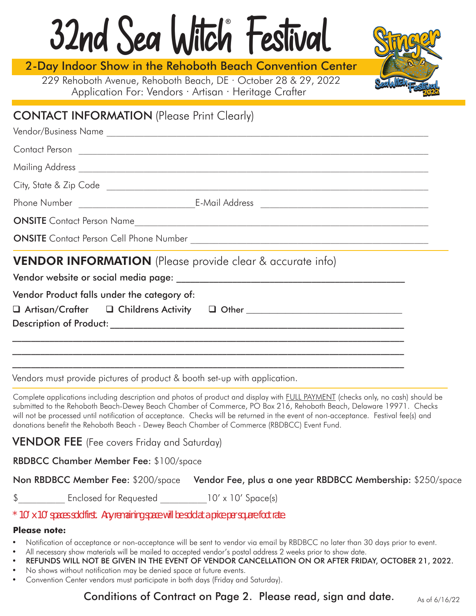# 32nd Sea Witch Festival **®**

2-Day Indoor Show in the Rehoboth Beach Convention Center

Application For: Vendors · Artisan · Heritage Crafter 229 Rehoboth Avenue, Rehoboth Beach, DE · October 28 & 29, 2022



# CONTACT INFORMATION (Please Print Clearly)

|                                             | City, State & Zip Code <u>example and control and control of the state of the state of the state of the state of the state of the state of the state of the state of the state of the state of the state of the state of the sta</u> |  |  |  |
|---------------------------------------------|--------------------------------------------------------------------------------------------------------------------------------------------------------------------------------------------------------------------------------------|--|--|--|
|                                             |                                                                                                                                                                                                                                      |  |  |  |
| <b>ONSITE</b> Contact Person Name           |                                                                                                                                                                                                                                      |  |  |  |
|                                             |                                                                                                                                                                                                                                      |  |  |  |
|                                             |                                                                                                                                                                                                                                      |  |  |  |
| Vendor Product falls under the category of: |                                                                                                                                                                                                                                      |  |  |  |
|                                             | □ Artisan/Crafter □ Childrens Activity □ Other ________________________________                                                                                                                                                      |  |  |  |
|                                             |                                                                                                                                                                                                                                      |  |  |  |
|                                             |                                                                                                                                                                                                                                      |  |  |  |
|                                             |                                                                                                                                                                                                                                      |  |  |  |
|                                             |                                                                                                                                                                                                                                      |  |  |  |

Vendors must provide pictures of product & booth set-up with application.

Complete applications including description and photos of product and display with FULL PAYMENT (checks only, no cash) should be submitted to the Rehoboth Beach-Dewey Beach Chamber of Commerce, PO Box 216, Rehoboth Beach, Delaware 19971. Checks will not be processed until notification of acceptance. Checks will be returned in the event of non-acceptance. Festival fee(s) and donations benefit the Rehoboth Beach - Dewey Beach Chamber of Commerce (RBDBCC) Event Fund.

**VENDOR FEE** (Fee covers Friday and Saturday)

RBDBCC Chamber Member Fee: \$100/space

| Non RBDBCC Member Fee: \$200/space Vendor Fee, plus a one year RBDBCC Membership: \$250/space |  |  |
|-----------------------------------------------------------------------------------------------|--|--|
|-----------------------------------------------------------------------------------------------|--|--|

\$ Enclosed for Requested 10' x 10' Space(s)

*\* 10' x 10' spaces sold first. Any remaining space will be sold at a price per square foot rate.*

#### **Please note:**

- Notification of acceptance or non-acceptance will be sent to vendor via email by RBDBCC no later than 30 days prior to event.
- All necessary show materials will be mailed to accepted vendor's postal address 2 weeks prior to show date.
- REFUNDS WILL NOT BE GIVEN IN THE EVENT OF VENDOR CANCELLATION ON OR AFTER FRIDAY, OCTOBER 21, 2022.
- No shows without notification may be denied space at future events.
- Convention Center vendors must participate in both days (Friday and Saturday).

Conditions of Contract on Page 2. Please read, sign and date.